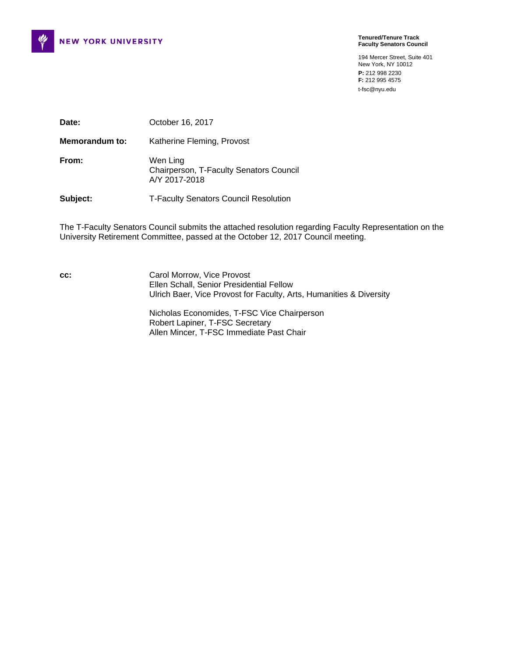

**Tenured/Tenure Track Faculty Senators Council** 

194 Mercer Street, Suite 401 New York, NY 10012 **P:** 212 998 2230 **F:** 212 995 4575 t-fsc@nyu.edu

**Date: October 16, 2017** 

**Memorandum to:** Katherine Fleming, Provost

**From:** Wen Ling Chairperson, T-Faculty Senators Council A/Y 2017-2018

**Subject:** T-Faculty Senators Council Resolution

The T-Faculty Senators Council submits the attached resolution regarding Faculty Representation on the University Retirement Committee, passed at the October 12, 2017 Council meeting.

**cc:** Carol Morrow, Vice Provost Ellen Schall, Senior Presidential Fellow Ulrich Baer, Vice Provost for Faculty, Arts, Humanities & Diversity

> Nicholas Economides, T-FSC Vice Chairperson Robert Lapiner, T-FSC Secretary Allen Mincer, T-FSC Immediate Past Chair